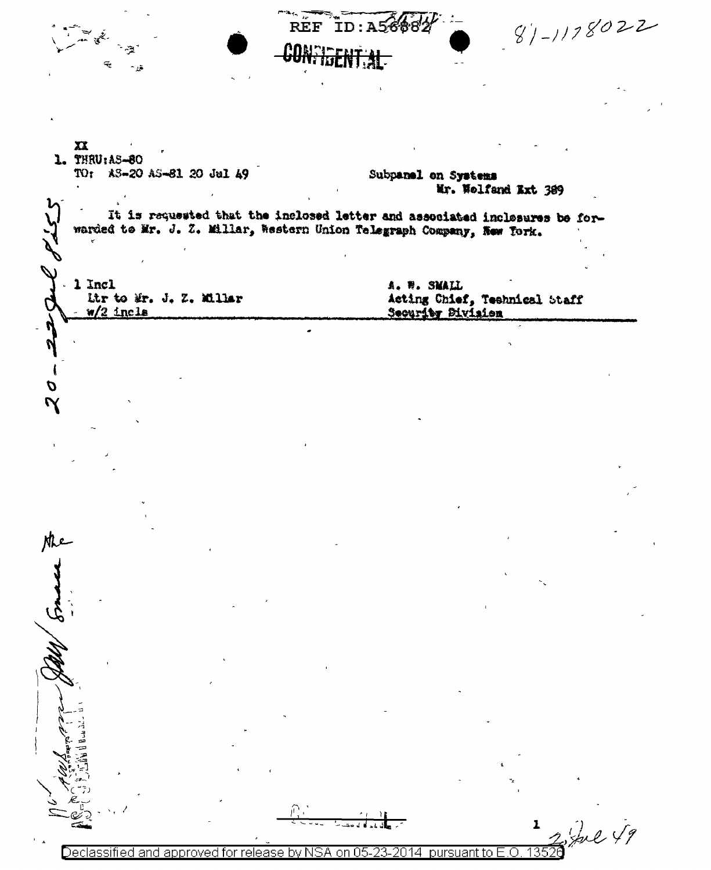$81 - 1178022$ **REF** ID:A5  $\mathbf{x}$ 1. THRU: AS-80 TO: AS-20 AS-81 20 Jul 49 Subpanel on Systems Mr. Wolfand Ext 389 It is requested that the inclosed letter and associated inclosures be forwarded to Mr. J. Z. Millar, Western Union Telegraph Company, New York.  $-1$  Incl A. W. SMALL Ltr to Mr. J. Z. Millar Acting Chief, Technical Staff  $w/2$  incle Security Division  $\boldsymbol{\mathcal{D}}$  $\mathbf 7$ the  $\frac{1}{13520}$  fol  $\sqrt{7}$ Declassified and approved for release by NSA on 05-23-2014 pursuant to E.O.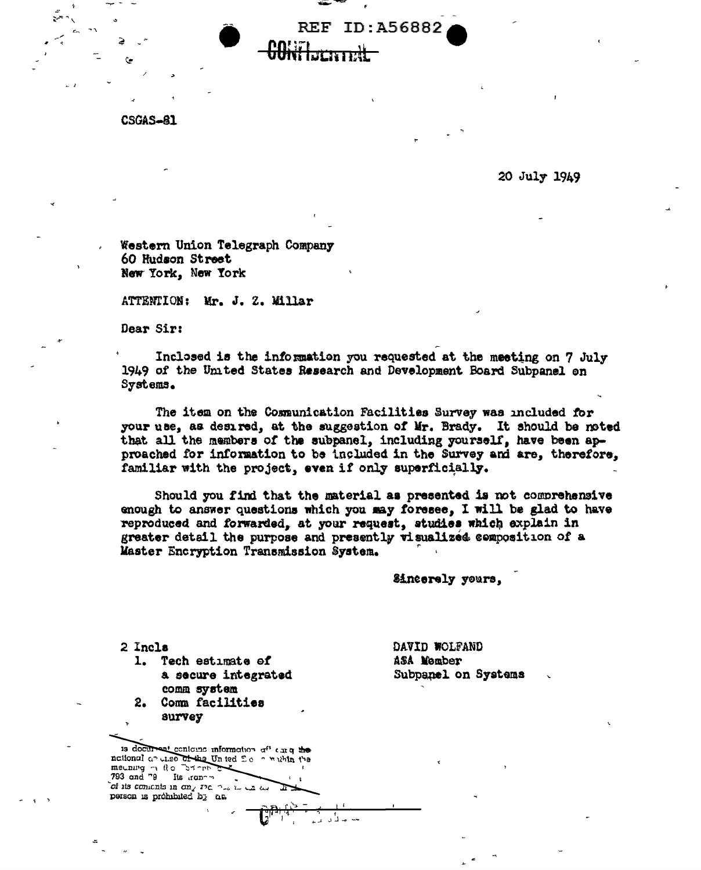**CSGAS-81** 

20 July 1949

Western Union Telegraph Company 60 Hudson Street New York, New York

ATTENTION: Mr. J. Z. Millar

Dear Sir:

Inclosed is the information you requested at the meeting on 7 July 1949 of the Umted States Research and Development Board Subpanel on Systems.

**REF ID: A56882** 

The item on the Communication Facilities Survey was included for your use, as desired, at the suggestion of Mr. Brady. It should be noted that all the members of the subpanel, including yourself, have been approached for information to be included in the Survey and are, therefore, familiar with the project, even if only superficially.

Should you find that the material as presented is not comprehensive enough to answer questions which you may foresee, I will be glad to have reproduced and forwarded, at your request, studies which explain in greater detail the purpose and presently visualized composition of a Master Encryption Transmission System.

للداليا الأكراني

Sincerely yours,

2 Incla

1. Tech estimate of a secure integrated comm system

2. Comm facilities survey

is document contoune information aff car q the national an unso of the United So a within the mething of the "Store" lis iranon of its contents in any sie has to the disт person is prohibited by an

DAVID WOLFAND ASA Member Subpanel on Systems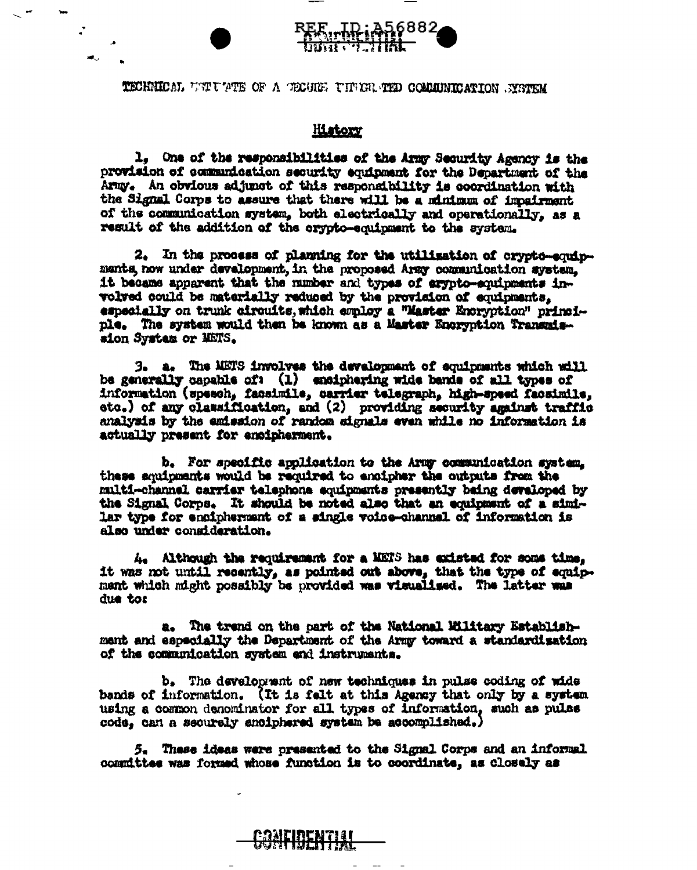## TECHNICAL UNIUMPHE OF A TECHNE UNIVERSITY COMMUNICATION SYSTEM

## **History**

1, One of the responsibilities of the Army Security Agency is the provision of communication security equipment for the Department of the Army. An obvious adjunct of this respondibility is coordination with the Signal Corps to assure that there will be a minimum of impairment of the communication system, both electrically and operationally, as a result of the addition of the crypto-equipment to the system.

2. In the process of planning for the utilization of crypto-equipmants, now under development, in the proposed Army communication system. it became apparent that the number and types of arypto-equipments involved could be materially reduced by the provision of equipments, especially on trunk circuits, which employ a "Master Encryption" principle. The system would then be known as a Master Encryption Transmission System or METS.

3. a. The METS involves the development of equipments which will be generally capable of: (1) enciphering wide bands of all types of information (speech, facsimile, carrier telegraph, high-speed facsimile, etc.) of any classification, and (2) providing security against traffic analysis by the emission of random signals even while no information is actually present for encipherment.

b. For specific application to the Army communication system. these souipments would be required to encipher the outputs from the multi-channel carrier telephone equipments presently being developed by the Signal Corps. It should be noted also that an equipment of a similar type for encipherment of a single voice-channel of information is also under consideration.

4. Although the requirement for a METS has existed for some time. it was not until recently, as pointed out above, that the type of equipment which might possibly be provided was visualized. The latter was due to:

a. The trend on the part of the National Military Establishment and especially the Department of the Army toward a standardisation of the communication system and instruments.

b. The development of new techniques in pulse coding of wide bands of information. (It is felt at this Agency that only by a system using a common denominator for all types of information, such as pulse code, can a securely enciphered system be accomplished.)

5. These ideas were presented to the Signal Corps and an informal committee was formed whose function is to coordinate, as closely as

<u>ERNIH BENTINI</u>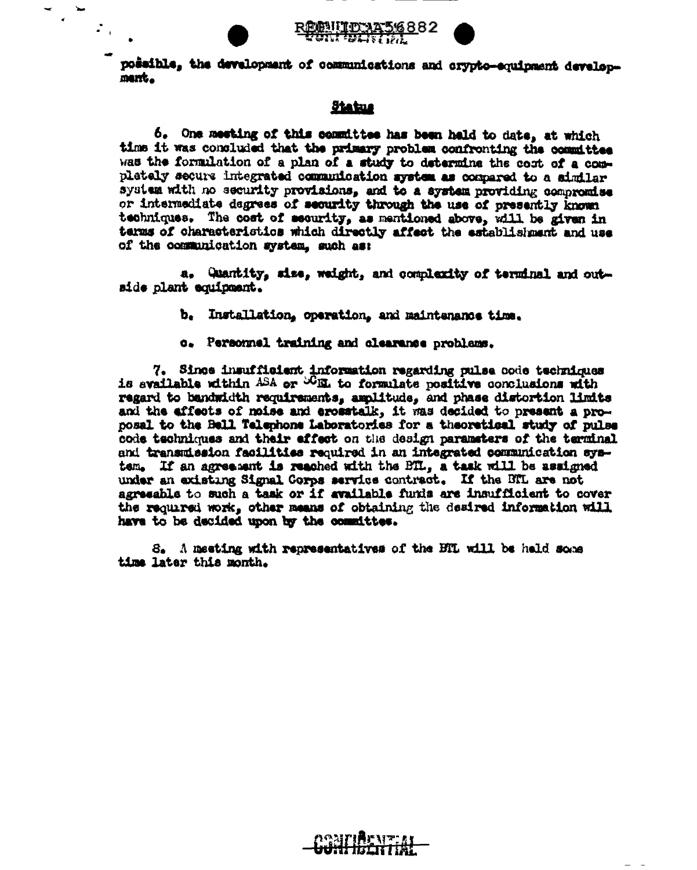

 $\ddot{\phantom{0}}$ 

 $\mathcal{L}_{\text{in}}$ 





possible, the development of communications and crypto-equipment developmant.

## **Status**

6. One meeting of this committee has been hald to date, at which time it was concluded that the primary problem confronting the committee was the formulation of a plan of a study to determine the cost of a completely secure integrated communication system as compared to a similar system with no security provisions, and to a system providing compromise or intermediate degrees of security through the use of presently known techniques. The cost of security, as mentioned above, will be given in terms of characteristics which directly affect the establishment and use of the communication system, such as:

a. Quantity, size, weight, and complexity of terminal and outside plant equipment.

- Installation, operation, and maintenance time. Ъ.
- o. Personnel training and clearance problems.

7. Since insufficient information regarding pulse code techniques is available within ASA or WEL to formulate positive conclusions with regard to bandwidth requirements, amplitude, and phase distortion limits and the effects of noise and erometalk, it was decided to present a proposal to the Bell Telephone Laboratories for a theoretical study of pulse code techniques and their effect on the design parameters of the terminal and transmission facilities required in an integrated communication system. If an agreement is reached with the BTL, a task will be assigned under an existing Signal Corps service contract. If the BTL are not agreeable to such a task or if available funds are insufficient to cover the required work, other means of obtaining the desired information will have to be decided upon by the committee.

S. A meeting with representatives of the BTL will be held some time later this month.